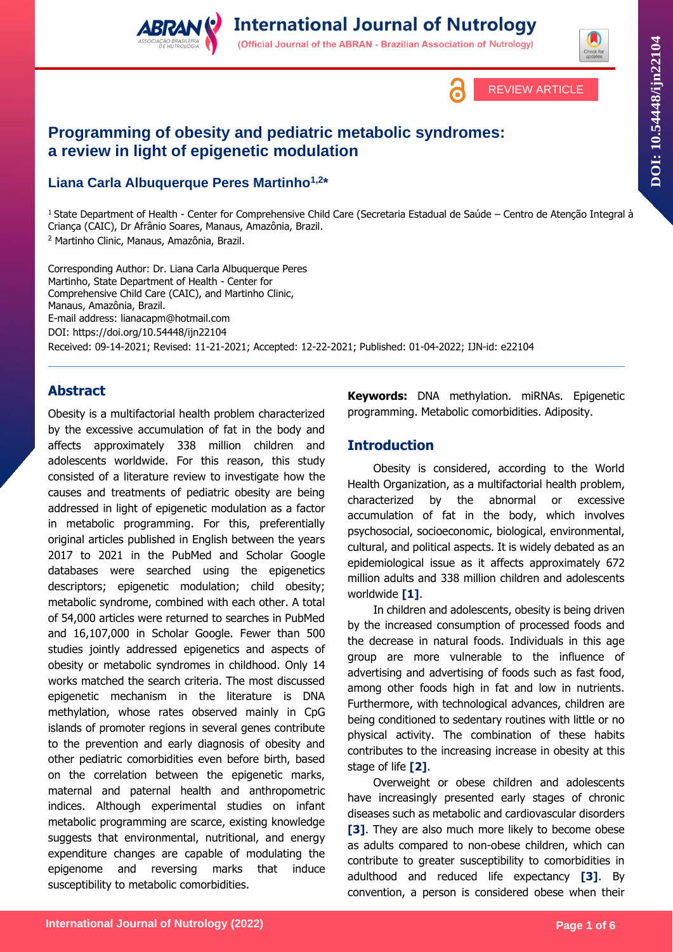

(Official Journal of the ABRAN - Brazilian Association of Nutrology)



# **Programming of obesity and pediatric metabolic syndromes: a review in light of epigenetic modulation**

## **Liana Carla Albuquerque Peres Martinho1,2 \***

<sup>1</sup>State Department of Health - Center for Comprehensive Child Care (Secretaria Estadual de Saúde – Centro de Atenção Integral à Criança (CAIC), Dr Afrânio Soares, Manaus, Amazônia, Brazil. <sup>2</sup> Martinho Clinic, Manaus, Amazônia, Brazil.

Corresponding Author: Dr. Liana Carla Albuquerque Peres Martinho, State Department of Health - Center for Comprehensive Child Care (CAIC), and Martinho Clinic, Manaus, Amazônia, Brazil. E-mail address: lianacapm@hotmail.com DOI: https://doi.org/10.54448/ijn22104 Received: 09-14-2021; Revised: 11-21-2021; Accepted: 12-22-2021; Published: 01-04-2022; IJN-id: e22104

## **Abstract**

Obesity is a multifactorial health problem characterized by the excessive accumulation of fat in the body and affects approximately 338 million children and adolescents worldwide. For this reason, this study consisted of a literature review to investigate how the causes and treatments of pediatric obesity are being addressed in light of epigenetic modulation as a factor in metabolic programming. For this, preferentially original articles published in English between the years 2017 to 2021 in the PubMed and Scholar Google databases were searched using the epigenetics descriptors; epigenetic modulation; child obesity; metabolic syndrome, combined with each other. A total of 54,000 articles were returned to searches in PubMed and 16,107,000 in Scholar Google. Fewer than 500 studies jointly addressed epigenetics and aspects of obesity or metabolic syndromes in childhood. Only 14 works matched the search criteria. The most discussed epigenetic mechanism in the literature is DNA methylation, whose rates observed mainly in CpG islands of promoter regions in several genes contribute to the prevention and early diagnosis of obesity and other pediatric comorbidities even before birth, based on the correlation between the epigenetic marks, maternal and paternal health and anthropometric indices. Although experimental studies on infant metabolic programming are scarce, existing knowledge suggests that environmental, nutritional, and energy expenditure changes are capable of modulating the epigenome and reversing marks that induce susceptibility to metabolic comorbidities.

**Keywords:** DNA methylation. miRNAs. Epigenetic programming. Metabolic comorbidities. Adiposity.

## **Introduction**

Obesity is considered, according to the World Health Organization, as a multifactorial health problem, characterized by the abnormal or excessive accumulation of fat in the body, which involves psychosocial, socioeconomic, biological, environmental, cultural, and political aspects. It is widely debated as an epidemiological issue as it affects approximately 672 million adults and 338 million children and adolescents worldwide **[1]**.

In children and adolescents, obesity is being driven by the increased consumption of processed foods and the decrease in natural foods. Individuals in this age group are more vulnerable to the influence of advertising and advertising of foods such as fast food, among other foods high in fat and low in nutrients. Furthermore, with technological advances, children are being conditioned to sedentary routines with little or no physical activity. The combination of these habits contributes to the increasing increase in obesity at this stage of life **[2]**.

Overweight or obese children and adolescents have increasingly presented early stages of chronic diseases such as metabolic and cardiovascular disorders **[3]**. They are also much more likely to become obese as adults compared to non-obese children, which can contribute to greater susceptibility to comorbidities in adulthood and reduced life expectancy **[3]**. By convention, a person is considered obese when their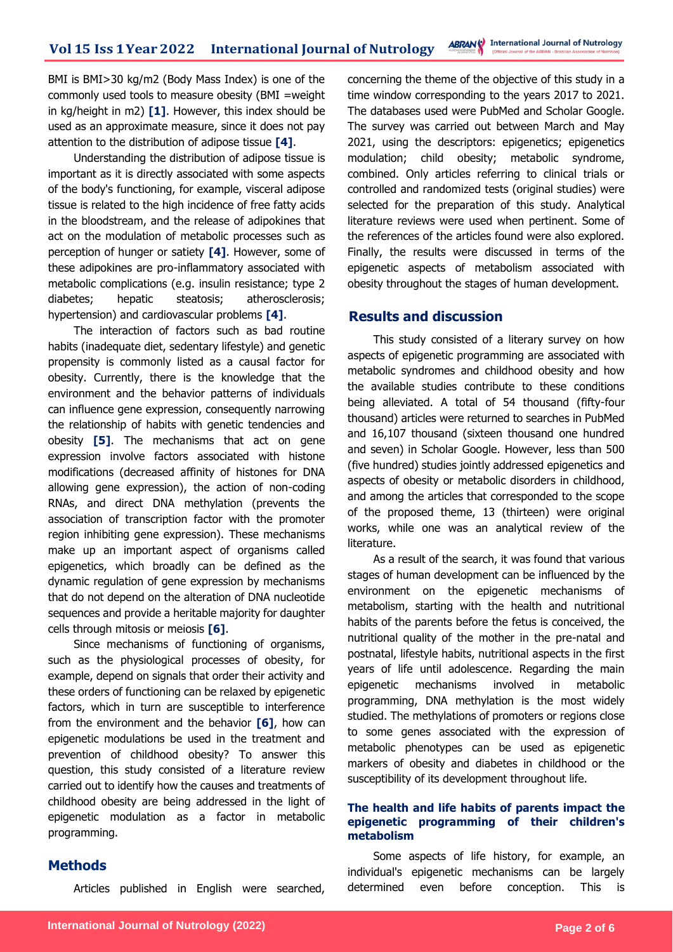BMI is BMI>30 kg/m2 (Body Mass Index) is one of the commonly used tools to measure obesity (BMI =weight in kg/height in m2) **[1]**. However, this index should be used as an approximate measure, since it does not pay attention to the distribution of adipose tissue **[4]**.

Understanding the distribution of adipose tissue is important as it is directly associated with some aspects of the body's functioning, for example, visceral adipose tissue is related to the high incidence of free fatty acids in the bloodstream, and the release of adipokines that act on the modulation of metabolic processes such as perception of hunger or satiety **[4]**. However, some of these adipokines are pro-inflammatory associated with metabolic complications (e.g. insulin resistance; type 2 diabetes; hepatic steatosis; atherosclerosis; hypertension) and cardiovascular problems **[4]**.

The interaction of factors such as bad routine habits (inadequate diet, sedentary lifestyle) and genetic propensity is commonly listed as a causal factor for obesity. Currently, there is the knowledge that the environment and the behavior patterns of individuals can influence gene expression, consequently narrowing the relationship of habits with genetic tendencies and obesity **[5]**. The mechanisms that act on gene expression involve factors associated with histone modifications (decreased affinity of histones for DNA allowing gene expression), the action of non-coding RNAs, and direct DNA methylation (prevents the association of transcription factor with the promoter region inhibiting gene expression). These mechanisms make up an important aspect of organisms called epigenetics, which broadly can be defined as the dynamic regulation of gene expression by mechanisms that do not depend on the alteration of DNA nucleotide sequences and provide a heritable majority for daughter cells through mitosis or meiosis **[6]**.

Since mechanisms of functioning of organisms, such as the physiological processes of obesity, for example, depend on signals that order their activity and these orders of functioning can be relaxed by epigenetic factors, which in turn are susceptible to interference from the environment and the behavior **[6]**, how can epigenetic modulations be used in the treatment and prevention of childhood obesity? To answer this question, this study consisted of a literature review carried out to identify how the causes and treatments of childhood obesity are being addressed in the light of epigenetic modulation as a factor in metabolic programming.

#### **Methods**

Articles published in English were searched,

concerning the theme of the objective of this study in a time window corresponding to the years 2017 to 2021. The databases used were PubMed and Scholar Google. The survey was carried out between March and May 2021, using the descriptors: epigenetics; epigenetics modulation; child obesity; metabolic syndrome, combined. Only articles referring to clinical trials or controlled and randomized tests (original studies) were selected for the preparation of this study. Analytical literature reviews were used when pertinent. Some of the references of the articles found were also explored. Finally, the results were discussed in terms of the epigenetic aspects of metabolism associated with obesity throughout the stages of human development.

### **Results and discussion**

This study consisted of a literary survey on how aspects of epigenetic programming are associated with metabolic syndromes and childhood obesity and how the available studies contribute to these conditions being alleviated. A total of 54 thousand (fifty-four thousand) articles were returned to searches in PubMed and 16,107 thousand (sixteen thousand one hundred and seven) in Scholar Google. However, less than 500 (five hundred) studies jointly addressed epigenetics and aspects of obesity or metabolic disorders in childhood, and among the articles that corresponded to the scope of the proposed theme, 13 (thirteen) were original works, while one was an analytical review of the literature.

As a result of the search, it was found that various stages of human development can be influenced by the environment on the epigenetic mechanisms of metabolism, starting with the health and nutritional habits of the parents before the fetus is conceived, the nutritional quality of the mother in the pre-natal and postnatal, lifestyle habits, nutritional aspects in the first years of life until adolescence. Regarding the main epigenetic mechanisms involved in metabolic programming, DNA methylation is the most widely studied. The methylations of promoters or regions close to some genes associated with the expression of metabolic phenotypes can be used as epigenetic markers of obesity and diabetes in childhood or the susceptibility of its development throughout life.

#### **The health and life habits of parents impact the epigenetic programming of their children's metabolism**

Some aspects of life history, for example, an individual's epigenetic mechanisms can be largely determined even before conception. This is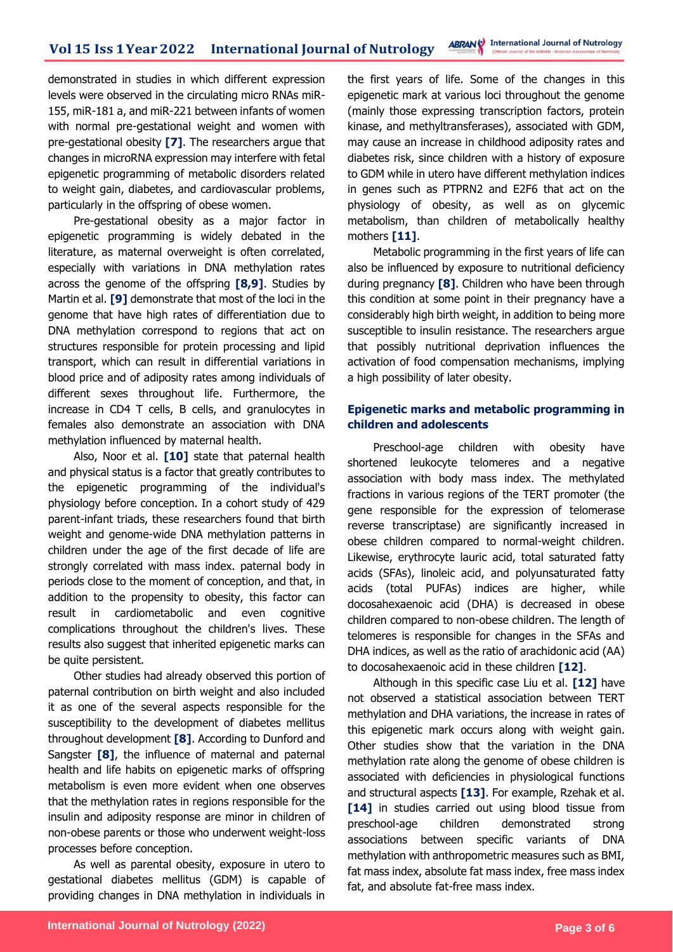demonstrated in studies in which different expression levels were observed in the circulating micro RNAs miR-155, miR-181 a, and miR-221 between infants of women with normal pre-gestational weight and women with pre-gestational obesity **[7]**. The researchers argue that changes in microRNA expression may interfere with fetal epigenetic programming of metabolic disorders related to weight gain, diabetes, and cardiovascular problems, particularly in the offspring of obese women.

Pre-gestational obesity as a major factor in epigenetic programming is widely debated in the literature, as maternal overweight is often correlated, especially with variations in DNA methylation rates across the genome of the offspring **[8,9]**. Studies by Martin et al. **[9]** demonstrate that most of the loci in the genome that have high rates of differentiation due to DNA methylation correspond to regions that act on structures responsible for protein processing and lipid transport, which can result in differential variations in blood price and of adiposity rates among individuals of different sexes throughout life. Furthermore, the increase in CD4 T cells, B cells, and granulocytes in females also demonstrate an association with DNA methylation influenced by maternal health.

Also, Noor et al. **[10]** state that paternal health and physical status is a factor that greatly contributes to the epigenetic programming of the individual's physiology before conception. In a cohort study of 429 parent-infant triads, these researchers found that birth weight and genome-wide DNA methylation patterns in children under the age of the first decade of life are strongly correlated with mass index. paternal body in periods close to the moment of conception, and that, in addition to the propensity to obesity, this factor can result in cardiometabolic and even cognitive complications throughout the children's lives. These results also suggest that inherited epigenetic marks can be quite persistent.

Other studies had already observed this portion of paternal contribution on birth weight and also included it as one of the several aspects responsible for the susceptibility to the development of diabetes mellitus throughout development **[8]**. According to Dunford and Sangster **[8]**, the influence of maternal and paternal health and life habits on epigenetic marks of offspring metabolism is even more evident when one observes that the methylation rates in regions responsible for the insulin and adiposity response are minor in children of non-obese parents or those who underwent weight-loss processes before conception.

As well as parental obesity, exposure in utero to gestational diabetes mellitus (GDM) is capable of providing changes in DNA methylation in individuals in

the first years of life. Some of the changes in this epigenetic mark at various loci throughout the genome (mainly those expressing transcription factors, protein kinase, and methyltransferases), associated with GDM, may cause an increase in childhood adiposity rates and diabetes risk, since children with a history of exposure to GDM while in utero have different methylation indices in genes such as PTPRN2 and E2F6 that act on the physiology of obesity, as well as on glycemic metabolism, than children of metabolically healthy mothers **[11]**.

Metabolic programming in the first years of life can also be influenced by exposure to nutritional deficiency during pregnancy **[8]**. Children who have been through this condition at some point in their pregnancy have a considerably high birth weight, in addition to being more susceptible to insulin resistance. The researchers argue that possibly nutritional deprivation influences the activation of food compensation mechanisms, implying a high possibility of later obesity.

#### **Epigenetic marks and metabolic programming in children and adolescents**

Preschool-age children with obesity have shortened leukocyte telomeres and a negative association with body mass index. The methylated fractions in various regions of the TERT promoter (the gene responsible for the expression of telomerase reverse transcriptase) are significantly increased in obese children compared to normal-weight children. Likewise, erythrocyte lauric acid, total saturated fatty acids (SFAs), linoleic acid, and polyunsaturated fatty acids (total PUFAs) indices are higher, while docosahexaenoic acid (DHA) is decreased in obese children compared to non-obese children. The length of telomeres is responsible for changes in the SFAs and DHA indices, as well as the ratio of arachidonic acid (AA) to docosahexaenoic acid in these children **[12]**.

Although in this specific case Liu et al. **[12]** have not observed a statistical association between TERT methylation and DHA variations, the increase in rates of this epigenetic mark occurs along with weight gain. Other studies show that the variation in the DNA methylation rate along the genome of obese children is associated with deficiencies in physiological functions and structural aspects **[13]**. For example, Rzehak et al. **[14]** in studies carried out using blood tissue from preschool-age children demonstrated strong associations between specific variants of DNA methylation with anthropometric measures such as BMI, fat mass index, absolute fat mass index, free mass index fat, and absolute fat-free mass index.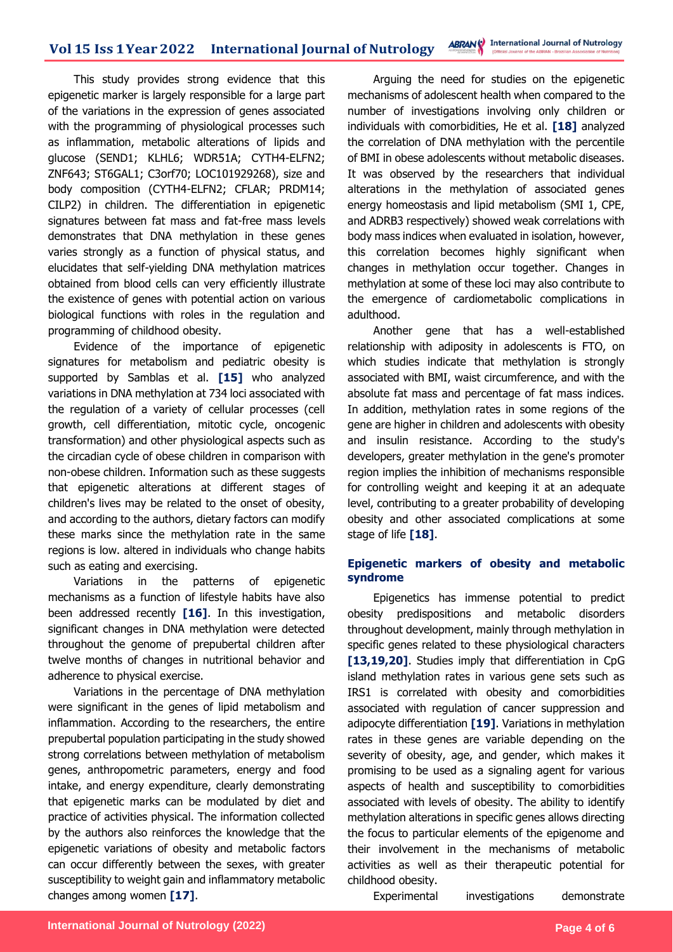This study provides strong evidence that this epigenetic marker is largely responsible for a large part of the variations in the expression of genes associated with the programming of physiological processes such as inflammation, metabolic alterations of lipids and glucose (SEND1; KLHL6; WDR51A; CYTH4-ELFN2; ZNF643; ST6GAL1; C3orf70; LOC101929268), size and body composition (CYTH4-ELFN2; CFLAR; PRDM14; CILP2) in children. The differentiation in epigenetic signatures between fat mass and fat-free mass levels demonstrates that DNA methylation in these genes varies strongly as a function of physical status, and elucidates that self-yielding DNA methylation matrices obtained from blood cells can very efficiently illustrate the existence of genes with potential action on various biological functions with roles in the regulation and programming of childhood obesity.

Evidence of the importance of epigenetic signatures for metabolism and pediatric obesity is supported by Samblas et al. **[15]** who analyzed variations in DNA methylation at 734 loci associated with the regulation of a variety of cellular processes (cell growth, cell differentiation, mitotic cycle, oncogenic transformation) and other physiological aspects such as the circadian cycle of obese children in comparison with non-obese children. Information such as these suggests that epigenetic alterations at different stages of children's lives may be related to the onset of obesity, and according to the authors, dietary factors can modify these marks since the methylation rate in the same regions is low. altered in individuals who change habits such as eating and exercising.

Variations in the patterns of epigenetic mechanisms as a function of lifestyle habits have also been addressed recently **[16]**. In this investigation, significant changes in DNA methylation were detected throughout the genome of prepubertal children after twelve months of changes in nutritional behavior and adherence to physical exercise.

Variations in the percentage of DNA methylation were significant in the genes of lipid metabolism and inflammation. According to the researchers, the entire prepubertal population participating in the study showed strong correlations between methylation of metabolism genes, anthropometric parameters, energy and food intake, and energy expenditure, clearly demonstrating that epigenetic marks can be modulated by diet and practice of activities physical. The information collected by the authors also reinforces the knowledge that the epigenetic variations of obesity and metabolic factors can occur differently between the sexes, with greater susceptibility to weight gain and inflammatory metabolic changes among women **[17]**.

Arguing the need for studies on the epigenetic mechanisms of adolescent health when compared to the number of investigations involving only children or individuals with comorbidities, He et al. **[18]** analyzed the correlation of DNA methylation with the percentile of BMI in obese adolescents without metabolic diseases. It was observed by the researchers that individual alterations in the methylation of associated genes energy homeostasis and lipid metabolism (SMI 1, CPE, and ADRB3 respectively) showed weak correlations with body mass indices when evaluated in isolation, however, this correlation becomes highly significant when changes in methylation occur together. Changes in methylation at some of these loci may also contribute to the emergence of cardiometabolic complications in adulthood.

Another gene that has a well-established relationship with adiposity in adolescents is FTO, on which studies indicate that methylation is strongly associated with BMI, waist circumference, and with the absolute fat mass and percentage of fat mass indices. In addition, methylation rates in some regions of the gene are higher in children and adolescents with obesity and insulin resistance. According to the study's developers, greater methylation in the gene's promoter region implies the inhibition of mechanisms responsible for controlling weight and keeping it at an adequate level, contributing to a greater probability of developing obesity and other associated complications at some stage of life **[18]**.

#### **Epigenetic markers of obesity and metabolic syndrome**

Epigenetics has immense potential to predict obesity predispositions and metabolic disorders throughout development, mainly through methylation in specific genes related to these physiological characters **[13,19,20]**. Studies imply that differentiation in CpG island methylation rates in various gene sets such as IRS1 is correlated with obesity and comorbidities associated with regulation of cancer suppression and adipocyte differentiation **[19]**. Variations in methylation rates in these genes are variable depending on the severity of obesity, age, and gender, which makes it promising to be used as a signaling agent for various aspects of health and susceptibility to comorbidities associated with levels of obesity. The ability to identify methylation alterations in specific genes allows directing the focus to particular elements of the epigenome and their involvement in the mechanisms of metabolic activities as well as their therapeutic potential for childhood obesity.

Experimental investigations demonstrate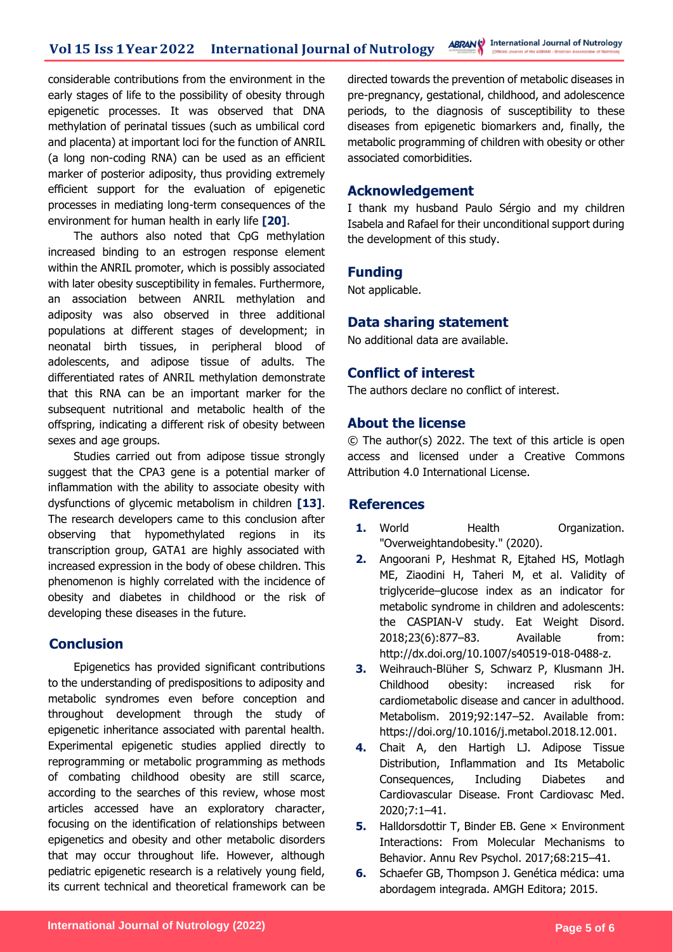considerable contributions from the environment in the early stages of life to the possibility of obesity through epigenetic processes. It was observed that DNA methylation of perinatal tissues (such as umbilical cord and placenta) at important loci for the function of ANRIL (a long non-coding RNA) can be used as an efficient marker of posterior adiposity, thus providing extremely efficient support for the evaluation of epigenetic processes in mediating long-term consequences of the environment for human health in early life **[20]**.

The authors also noted that CpG methylation increased binding to an estrogen response element within the ANRIL promoter, which is possibly associated with later obesity susceptibility in females. Furthermore, an association between ANRIL methylation and adiposity was also observed in three additional populations at different stages of development; in neonatal birth tissues, in peripheral blood of adolescents, and adipose tissue of adults. The differentiated rates of ANRIL methylation demonstrate that this RNA can be an important marker for the subsequent nutritional and metabolic health of the offspring, indicating a different risk of obesity between sexes and age groups.

Studies carried out from adipose tissue strongly suggest that the CPA3 gene is a potential marker of inflammation with the ability to associate obesity with dysfunctions of glycemic metabolism in children **[13]**. The research developers came to this conclusion after observing that hypomethylated regions in its transcription group, GATA1 are highly associated with increased expression in the body of obese children. This phenomenon is highly correlated with the incidence of obesity and diabetes in childhood or the risk of developing these diseases in the future.

## **Conclusion**

Epigenetics has provided significant contributions to the understanding of predispositions to adiposity and metabolic syndromes even before conception and throughout development through the study of epigenetic inheritance associated with parental health. Experimental epigenetic studies applied directly to reprogramming or metabolic programming as methods of combating childhood obesity are still scarce, according to the searches of this review, whose most articles accessed have an exploratory character, focusing on the identification of relationships between epigenetics and obesity and other metabolic disorders that may occur throughout life. However, although pediatric epigenetic research is a relatively young field, its current technical and theoretical framework can be directed towards the prevention of metabolic diseases in pre-pregnancy, gestational, childhood, and adolescence periods, to the diagnosis of susceptibility to these diseases from epigenetic biomarkers and, finally, the metabolic programming of children with obesity or other associated comorbidities.

### **Acknowledgement**

I thank my husband Paulo Sérgio and my children Isabela and Rafael for their unconditional support during the development of this study.

### **Funding**

Not applicable.

## **Data sharing statement**

No additional data are available.

## **Conflict of interest**

The authors declare no conflict of interest.

## **About the license**

© The author(s) 2022. The text of this article is open access and licensed under a Creative Commons Attribution 4.0 International License.

### **References**

- **1.** World **Health Organization.** "Overweightandobesity." (2020).
- **2.** Angoorani P, Heshmat R, Ejtahed HS, Motlagh ME, Ziaodini H, Taheri M, et al. Validity of triglyceride–glucose index as an indicator for metabolic syndrome in children and adolescents: the CASPIAN-V study. Eat Weight Disord. 2018;23(6):877–83. Available from: http://dx.doi.org/10.1007/s40519-018-0488-z.
- **3.** Weihrauch-Blüher S, Schwarz P, Klusmann JH. Childhood obesity: increased risk for cardiometabolic disease and cancer in adulthood. Metabolism. 2019;92:147–52. Available from: https://doi.org/10.1016/j.metabol.2018.12.001.
- **4.** Chait A, den Hartigh LJ. Adipose Tissue Distribution, Inflammation and Its Metabolic Consequences, Including Diabetes and Cardiovascular Disease. Front Cardiovasc Med. 2020;7:1–41.
- **5.** Halldorsdottir T, Binder EB. Gene × Environment Interactions: From Molecular Mechanisms to Behavior. Annu Rev Psychol. 2017;68:215–41.
- **6.** Schaefer GB, Thompson J. Genética médica: uma abordagem integrada. AMGH Editora; 2015.